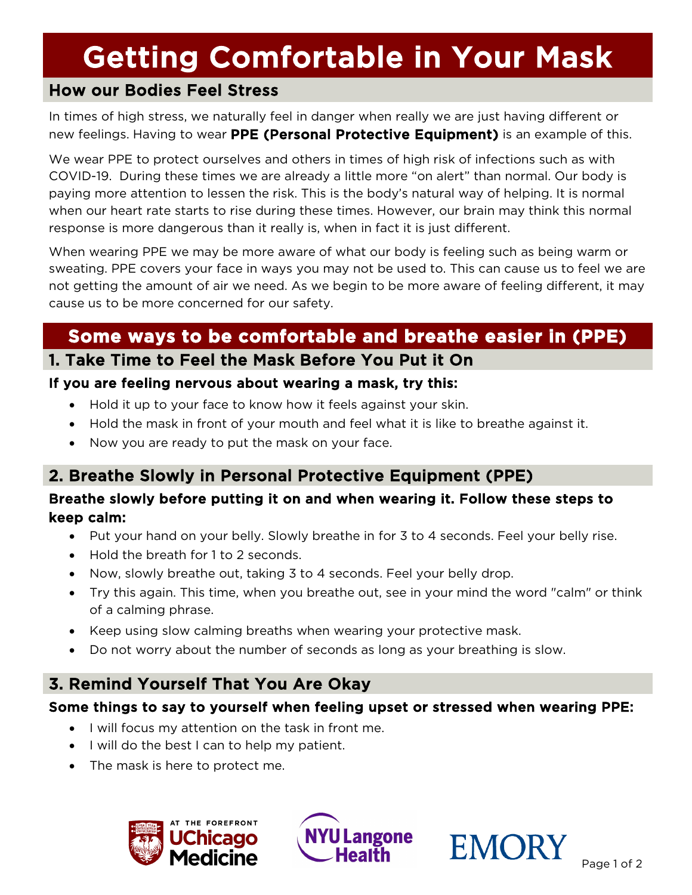# **Getting Comfortable in Your Mask**<br>How our Bodies Feel Stress

In times of high stress, we naturally feel in danger when really we are just having different or new feelings. Having to wear PPE (Personal Protective Equipment) is an example of this.

We wear PPE to protect ourselves and others in times of high risk of infections such as with COVID-19. During these times we are already a little more "on alert" than normal. Our body is paying more attention to lessen the risk. This is the body's natural way of helping. It is normal when our heart rate starts to rise during these times. However, our brain may think this normal response is more dangerous than it really is, when in fact it is just different.

When wearing PPE we may be more aware of what our body is feeling such as being warm or sweating. PPE covers your face in ways you may not be used to. This can cause us to feel we are not getting the amount of air we need. As we begin to be more aware of feeling different, it may cause us to be more concerned for our safety.

### **Some ways to be comfortable and breathe easier in (PPE)**  1. Take Time to Feel the Mask Before You Put it On

#### If you are feeling nervous about wearing a mask, try this:

- Hold it up to your face to know how it feels against your skin.
- Hold the mask in front of your mouth and feel what it is like to breathe against it.
- Now you are ready to put the mask on your face.

#### 2. Breathe Slowly in Personal Protective Equipment (PPE)

#### Breathe slowly before putting it on and when wearing it. Follow these steps to keep calm:

- Put your hand on your belly. Slowly breathe in for 3 to 4 seconds. Feel your belly rise.
- Hold the breath for 1 to 2 seconds.
- Now, slowly breathe out, taking 3 to 4 seconds. Feel your belly drop.
- Try this again. This time, when you breathe out, see in your mind the word "calm" or think of a calming phrase.
- Keep using slow calming breaths when wearing your protective mask.
- Do not worry about the number of seconds as long as your breathing is slow.

#### 3. Remind Yourself That You Are Okay

#### Some things to say to yourself when feeling upset or stressed when wearing PPE:

- I will focus my attention on the task in front me.
- I will do the best I can to help my patient.
- The mask is here to protect me.